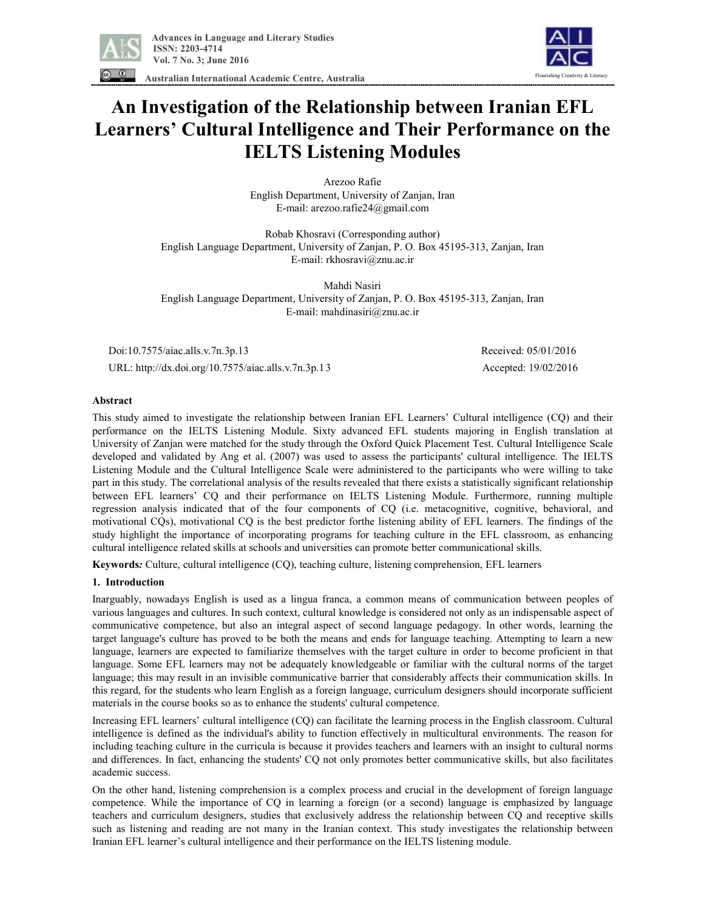

Flourishing Creativity & Literacy

**Australian International Academic Centre, Australia** 

# **An Investigation of the Relationship between Iranian EFL Learners' Cultural Intelligence and Their Performance on the IELTS Listening Modules**

Arezoo Rafie English Department, University of Zanjan, Iran E-mail: arezoo.rafie24@gmail.com

Robab Khosravi (Corresponding author) English Language Department, University of Zanjan, P. O. Box 45195-313, Zanjan, Iran E-mail: rkhosravi@znu.ac.ir

Mahdi Nasiri English Language Department, University of Zanjan, P. O. Box 45195-313, Zanjan, Iran E-mail: mahdinasiri@znu.ac.ir

 Doi:10.7575/aiac.alls.v.7n.3p.13 Received: 05/01/2016 URL: http://dx.doi.org/10.7575/aiac.alls.v.7n.3p.13 Accepted: 19/02/2016

# **Abstract**

This study aimed to investigate the relationship between Iranian EFL Learners' Cultural intelligence (CQ) and their performance on the IELTS Listening Module. Sixty advanced EFL students majoring in English translation at University of Zanjan were matched for the study through the Oxford Quick Placement Test. Cultural Intelligence Scale developed and validated by Ang et al. (2007) was used to assess the participants' cultural intelligence. The IELTS Listening Module and the Cultural Intelligence Scale were administered to the participants who were willing to take part in this study. The correlational analysis of the results revealed that there exists a statistically significant relationship between EFL learners' CQ and their performance on IELTS Listening Module. Furthermore, running multiple regression analysis indicated that of the four components of CQ (i.e. metacognitive, cognitive, behavioral, and motivational CQs), motivational CQ is the best predictor forthe listening ability of EFL learners. The findings of the study highlight the importance of incorporating programs for teaching culture in the EFL classroom, as enhancing cultural intelligence related skills at schools and universities can promote better communicational skills.

**Keywords***:* Culture, cultural intelligence (CQ), teaching culture, listening comprehension, EFL learners

## **1. Introduction**

Inarguably, nowadays English is used as a lingua franca, a common means of communication between peoples of various languages and cultures. In such context, cultural knowledge is considered not only as an indispensable aspect of communicative competence, but also an integral aspect of second language pedagogy. In other words, learning the target language's culture has proved to be both the means and ends for language teaching. Attempting to learn a new language, learners are expected to familiarize themselves with the target culture in order to become proficient in that language. Some EFL learners may not be adequately knowledgeable or familiar with the cultural norms of the target language; this may result in an invisible communicative barrier that considerably affects their communication skills. In this regard, for the students who learn English as a foreign language, curriculum designers should incorporate sufficient materials in the course books so as to enhance the students' cultural competence.

Increasing EFL learners' cultural intelligence (CQ) can facilitate the learning process in the English classroom. Cultural intelligence is defined as the individual's ability to function effectively in multicultural environments. The reason for including teaching culture in the curricula is because it provides teachers and learners with an insight to cultural norms and differences. In fact, enhancing the students' CQ not only promotes better communicative skills, but also facilitates academic success.

On the other hand, listening comprehension is a complex process and crucial in the development of foreign language competence. While the importance of CQ in learning a foreign (or a second) language is emphasized by language teachers and curriculum designers, studies that exclusively address the relationship between CQ and receptive skills such as listening and reading are not many in the Iranian context. This study investigates the relationship between Iranian EFL learner's cultural intelligence and their performance on the IELTS listening module.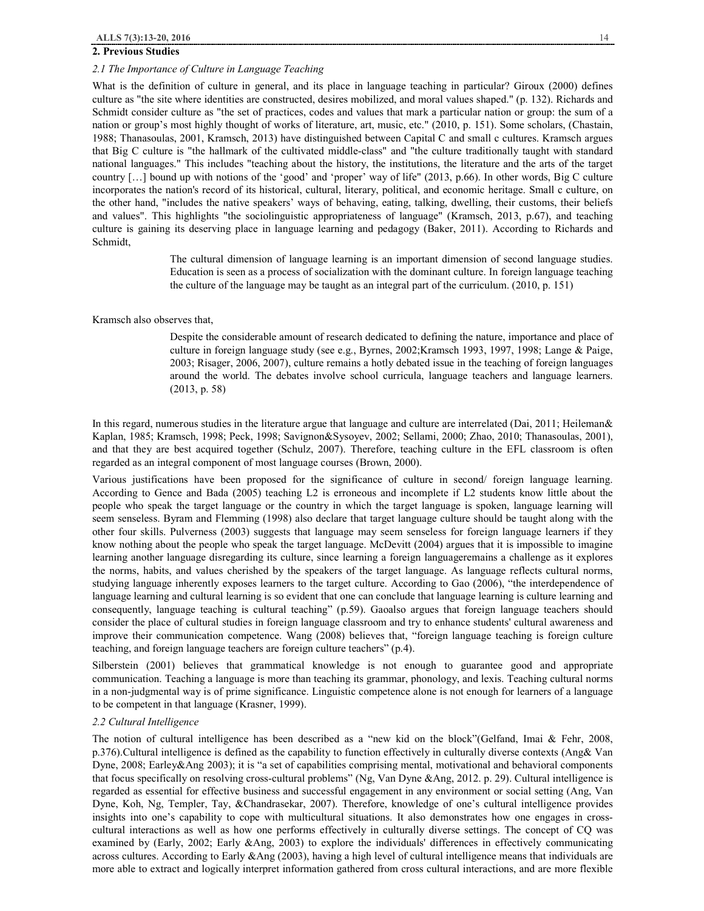# **2. Previous Studies**

## *2.1 The Importance of Culture in Language Teaching*

What is the definition of culture in general, and its place in language teaching in particular? Giroux (2000) defines culture as "the site where identities are constructed, desires mobilized, and moral values shaped." (p. 132). Richards and Schmidt consider culture as "the set of practices, codes and values that mark a particular nation or group: the sum of a nation or group's most highly thought of works of literature, art, music, etc." (2010, p. 151). Some scholars, (Chastain, 1988; Thanasoulas, 2001, Kramsch, 2013) have distinguished between Capital C and small c cultures. Kramsch argues that Big C culture is "the hallmark of the cultivated middle-class" and "the culture traditionally taught with standard national languages." This includes "teaching about the history, the institutions, the literature and the arts of the target country […] bound up with notions of the 'good' and 'proper' way of life" (2013, p.66). In other words, Big C culture incorporates the nation's record of its historical, cultural, literary, political, and economic heritage. Small c culture, on the other hand, "includes the native speakers' ways of behaving, eating, talking, dwelling, their customs, their beliefs and values". This highlights "the sociolinguistic appropriateness of language" (Kramsch, 2013, p.67), and teaching culture is gaining its deserving place in language learning and pedagogy (Baker, 2011). According to Richards and Schmidt,

> The cultural dimension of language learning is an important dimension of second language studies. Education is seen as a process of socialization with the dominant culture. In foreign language teaching the culture of the language may be taught as an integral part of the curriculum. (2010, p. 151)

### Kramsch also observes that,

Despite the considerable amount of research dedicated to defining the nature, importance and place of culture in foreign language study (see e.g., Byrnes, 2002;Kramsch 1993, 1997, 1998; Lange & Paige, 2003; Risager, 2006, 2007), culture remains a hotly debated issue in the teaching of foreign languages around the world. The debates involve school curricula, language teachers and language learners. (2013, p. 58)

In this regard, numerous studies in the literature argue that language and culture are interrelated (Dai, 2011; Heileman& Kaplan, 1985; Kramsch, 1998; Peck, 1998; Savignon&Sysoyev, 2002; Sellami, 2000; Zhao, 2010; Thanasoulas, 2001), and that they are best acquired together (Schulz, 2007). Therefore, teaching culture in the EFL classroom is often regarded as an integral component of most language courses (Brown, 2000).

Various justifications have been proposed for the significance of culture in second/ foreign language learning. According to Gence and Bada (2005) teaching L2 is erroneous and incomplete if L2 students know little about the people who speak the target language or the country in which the target language is spoken, language learning will seem senseless. Byram and Flemming (1998) also declare that target language culture should be taught along with the other four skills. Pulverness (2003) suggests that language may seem senseless for foreign language learners if they know nothing about the people who speak the target language. McDevitt (2004) argues that it is impossible to imagine learning another language disregarding its culture, since learning a foreign languageremains a challenge as it explores the norms, habits, and values cherished by the speakers of the target language. As language reflects cultural norms, studying language inherently exposes learners to the target culture. According to Gao (2006), "the interdependence of language learning and cultural learning is so evident that one can conclude that language learning is culture learning and consequently, language teaching is cultural teaching" (p.59). Gaoalso argues that foreign language teachers should consider the place of cultural studies in foreign language classroom and try to enhance students' cultural awareness and improve their communication competence. Wang (2008) believes that, "foreign language teaching is foreign culture teaching, and foreign language teachers are foreign culture teachers" (p.4).

Silberstein (2001) believes that grammatical knowledge is not enough to guarantee good and appropriate communication. Teaching a language is more than teaching its grammar, phonology, and lexis. Teaching cultural norms in a non-judgmental way is of prime significance. Linguistic competence alone is not enough for learners of a language to be competent in that language (Krasner, 1999).

## *2.2 Cultural Intelligence*

The notion of cultural intelligence has been described as a "new kid on the block"(Gelfand, Imai & Fehr, 2008, p.376).Cultural intelligence is defined as the capability to function effectively in culturally diverse contexts (Ang& Van Dyne, 2008; Earley&Ang 2003); it is "a set of capabilities comprising mental, motivational and behavioral components that focus specifically on resolving cross-cultural problems" (Ng, Van Dyne &Ang, 2012. p. 29). Cultural intelligence is regarded as essential for effective business and successful engagement in any environment or social setting (Ang, Van Dyne, Koh, Ng, Templer, Tay, &Chandrasekar, 2007). Therefore, knowledge of one's cultural intelligence provides insights into one's capability to cope with multicultural situations. It also demonstrates how one engages in crosscultural interactions as well as how one performs effectively in culturally diverse settings. The concept of CQ was examined by (Early, 2002; Early &Ang, 2003) to explore the individuals' differences in effectively communicating across cultures. According to Early  $\&$ Ang (2003), having a high level of cultural intelligence means that individuals are more able to extract and logically interpret information gathered from cross cultural interactions, and are more flexible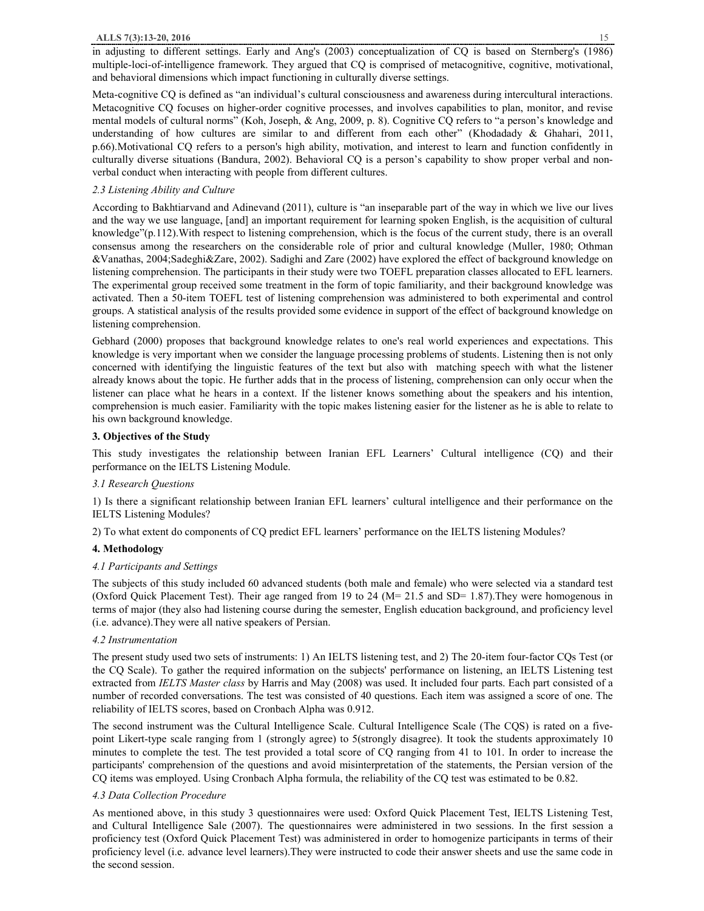in adjusting to different settings. Early and Ang's (2003) conceptualization of CQ is based on Sternberg's (1986) multiple-loci-of-intelligence framework. They argued that CQ is comprised of metacognitive, cognitive, motivational, and behavioral dimensions which impact functioning in culturally diverse settings.

Meta-cognitive CQ is defined as "an individual's cultural consciousness and awareness during intercultural interactions. Metacognitive CQ focuses on higher-order cognitive processes, and involves capabilities to plan, monitor, and revise mental models of cultural norms" (Koh, Joseph, & Ang, 2009, p. 8). Cognitive CQ refers to "a person's knowledge and understanding of how cultures are similar to and different from each other" (Khodadady & Ghahari, 2011, p.66).Motivational CQ refers to a person's high ability, motivation, and interest to learn and function confidently in culturally diverse situations (Bandura, 2002). Behavioral CQ is a person's capability to show proper verbal and nonverbal conduct when interacting with people from different cultures.

# *2.3 Listening Ability and Culture*

According to Bakhtiarvand and Adinevand (2011), culture is "an inseparable part of the way in which we live our lives and the way we use language, [and] an important requirement for learning spoken English, is the acquisition of cultural knowledge"(p.112).With respect to listening comprehension, which is the focus of the current study, there is an overall consensus among the researchers on the considerable role of prior and cultural knowledge (Muller, 1980; Othman &Vanathas, 2004;Sadeghi&Zare, 2002). Sadighi and Zare (2002) have explored the effect of background knowledge on listening comprehension. The participants in their study were two TOEFL preparation classes allocated to EFL learners. The experimental group received some treatment in the form of topic familiarity, and their background knowledge was activated. Then a 50-item TOEFL test of listening comprehension was administered to both experimental and control groups. A statistical analysis of the results provided some evidence in support of the effect of background knowledge on listening comprehension.

Gebhard (2000) proposes that background knowledge relates to one's real world experiences and expectations. This knowledge is very important when we consider the language processing problems of students. Listening then is not only concerned with identifying the linguistic features of the text but also with matching speech with what the listener already knows about the topic. He further adds that in the process of listening, comprehension can only occur when the listener can place what he hears in a context. If the listener knows something about the speakers and his intention, comprehension is much easier. Familiarity with the topic makes listening easier for the listener as he is able to relate to his own background knowledge.

#### **3. Objectives of the Study**

This study investigates the relationship between Iranian EFL Learners' Cultural intelligence (CQ) and their performance on the IELTS Listening Module.

#### *3.1 Research Questions*

1) Is there a significant relationship between Iranian EFL learners' cultural intelligence and their performance on the IELTS Listening Modules?

2) To what extent do components of CQ predict EFL learners' performance on the IELTS listening Modules?

## **4. Methodology**

## *4.1 Participants and Settings*

The subjects of this study included 60 advanced students (both male and female) who were selected via a standard test (Oxford Quick Placement Test). Their age ranged from 19 to 24 (M= 21.5 and SD= 1.87).They were homogenous in terms of major (they also had listening course during the semester, English education background, and proficiency level (i.e. advance).They were all native speakers of Persian.

#### *4.2 Instrumentation*

The present study used two sets of instruments: 1) An IELTS listening test, and 2) The 20-item four-factor CQs Test (or the CQ Scale). To gather the required information on the subjects' performance on listening, an IELTS Listening test extracted from *IELTS Master class* by Harris and May (2008) was used. It included four parts. Each part consisted of a number of recorded conversations. The test was consisted of 40 questions. Each item was assigned a score of one. The reliability of IELTS scores, based on Cronbach Alpha was 0.912.

The second instrument was the Cultural Intelligence Scale. Cultural Intelligence Scale (The CQS) is rated on a fivepoint Likert-type scale ranging from 1 (strongly agree) to 5(strongly disagree). It took the students approximately 10 minutes to complete the test. The test provided a total score of CQ ranging from 41 to 101. In order to increase the participants' comprehension of the questions and avoid misinterpretation of the statements, the Persian version of the CQ items was employed. Using Cronbach Alpha formula, the reliability of the CQ test was estimated to be 0.82.

## *4.3 Data Collection Procedure*

As mentioned above, in this study 3 questionnaires were used: Oxford Quick Placement Test, IELTS Listening Test, and Cultural Intelligence Sale (2007). The questionnaires were administered in two sessions. In the first session a proficiency test (Oxford Quick Placement Test) was administered in order to homogenize participants in terms of their proficiency level (i.e. advance level learners).They were instructed to code their answer sheets and use the same code in the second session.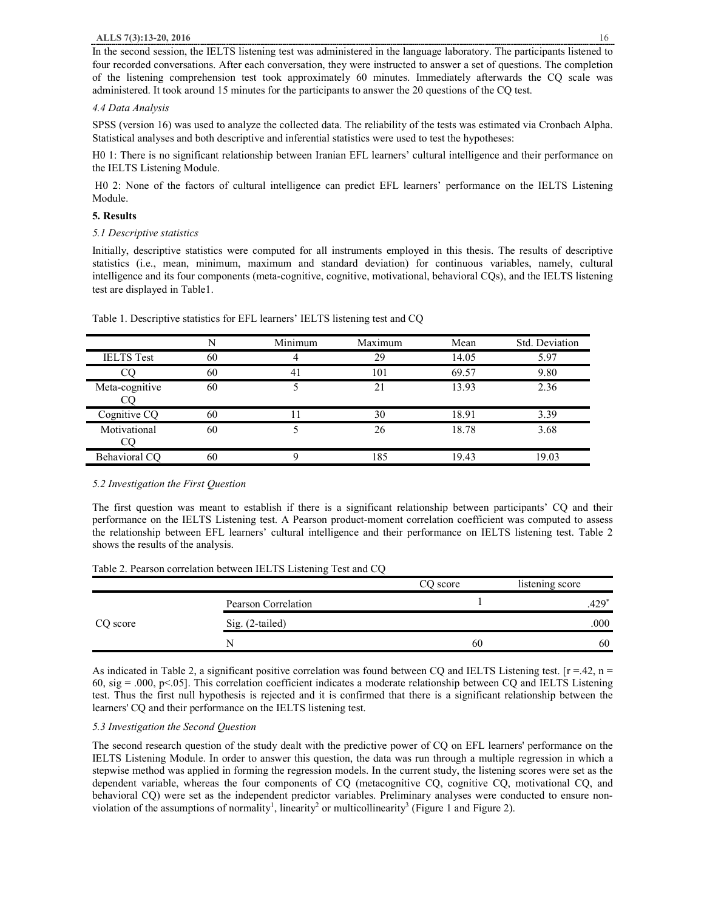In the second session, the IELTS listening test was administered in the language laboratory. The participants listened to four recorded conversations. After each conversation, they were instructed to answer a set of questions. The completion of the listening comprehension test took approximately 60 minutes. Immediately afterwards the CQ scale was administered. It took around 15 minutes for the participants to answer the 20 questions of the CQ test.

## *4.4 Data Analysis*

SPSS (version 16) was used to analyze the collected data. The reliability of the tests was estimated via Cronbach Alpha. Statistical analyses and both descriptive and inferential statistics were used to test the hypotheses:

H0 1: There is no significant relationship between Iranian EFL learners' cultural intelligence and their performance on the IELTS Listening Module.

H0 2: None of the factors of cultural intelligence can predict EFL learners' performance on the IELTS Listening Module.

## **5. Results**

## *5.1 Descriptive statistics*

Initially, descriptive statistics were computed for all instruments employed in this thesis. The results of descriptive statistics (i.e., mean, minimum, maximum and standard deviation) for continuous variables, namely, cultural intelligence and its four components (meta-cognitive, cognitive, motivational, behavioral CQs), and the IELTS listening test are displayed in Table1.

|                   | N  | Minimum | Maximum | Mean  | Std. Deviation |
|-------------------|----|---------|---------|-------|----------------|
| <b>IELTS</b> Test | 60 |         | 29      | 14.05 | 5.97           |
|                   | 60 | 41      | 101     | 69.57 | 9.80           |
| Meta-cognitive    | 60 |         | 21      | 13.93 | 2.36           |
| Cognitive CQ      | 60 |         | 30      | 18.91 | 3.39           |
| Motivational      | 60 |         | 26      | 18.78 | 3.68           |
| Behavioral CQ     | 60 |         | 185     | 19.43 | 19.03          |

Table 1. Descriptive statistics for EFL learners' IELTS listening test and CQ

# *5.2 Investigation the First Question*

The first question was meant to establish if there is a significant relationship between participants' CQ and their performance on the IELTS Listening test. A Pearson product-moment correlation coefficient was computed to assess the relationship between EFL learners' cultural intelligence and their performance on IELTS listening test. Table 2 shows the results of the analysis.

Table 2. Pearson correlation between IELTS Listening Test and CQ

|          |                     | CO score | listening score |
|----------|---------------------|----------|-----------------|
| CQ score | Pearson Correlation |          | 170*<br>.42.    |
|          | Sig. (2-tailed)     |          | .000            |
|          |                     | 60       | 60              |

As indicated in Table 2, a significant positive correlation was found between CQ and IELTS Listening test.  $[r = .42, n = ]$ 60, sig = .000, p<.05]. This correlation coefficient indicates a moderate relationship between CQ and IELTS Listening test. Thus the first null hypothesis is rejected and it is confirmed that there is a significant relationship between the learners' CQ and their performance on the IELTS listening test.

## *5.3 Investigation the Second Question*

The second research question of the study dealt with the predictive power of CQ on EFL learners' performance on the IELTS Listening Module. In order to answer this question, the data was run through a multiple regression in which a stepwise method was applied in forming the regression models. In the current study, the listening scores were set as the dependent variable, whereas the four components of CQ (metacognitive CQ, cognitive CQ, motivational CQ, and behavioral CQ) were set as the independent predictor variables. Preliminary analyses were conducted to ensure nonviolation of the assumptions of normality<sup>1</sup>, linearity<sup>2</sup> or multicollinearity<sup>3</sup> (Figure 1 and Figure 2).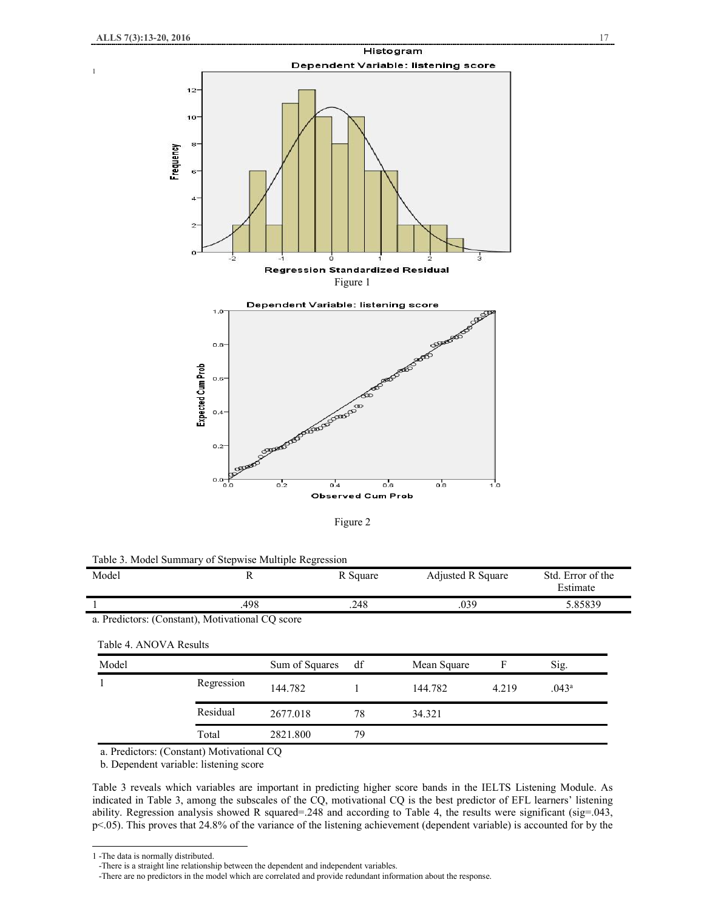1



Figure 2

Table 3. Model Summary of Stepwise Multiple Regression

| Model                  | R                                                |                | R Square | Adjusted R Square<br>.039 |       | Std. Error of the<br>Estimate<br>5.85839 |  |
|------------------------|--------------------------------------------------|----------------|----------|---------------------------|-------|------------------------------------------|--|
|                        | .498                                             |                | .248     |                           |       |                                          |  |
|                        | a. Predictors: (Constant), Motivational CQ score |                |          |                           |       |                                          |  |
| Table 4. ANOVA Results |                                                  |                |          |                           |       |                                          |  |
| Model                  |                                                  | Sum of Squares | df       | Mean Square               | F     | Sig.                                     |  |
|                        | Regression                                       | 144.782        |          | 144.782                   | 4.219 | .043 <sup>a</sup>                        |  |
|                        | Residual                                         | 2677.018       | 78       | 34.321                    |       |                                          |  |
|                        | Total                                            | 2821.800       | 79       |                           |       |                                          |  |
|                        | a. Predictors: (Constant) Motivational CO        |                |          |                           |       |                                          |  |

b. Dependent variable: listening score

Table 3 reveals which variables are important in predicting higher score bands in the IELTS Listening Module. As indicated in Table 3, among the subscales of the CQ, motivational CQ is the best predictor of EFL learners' listening ability. Regression analysis showed R squared=.248 and according to Table 4, the results were significant (sig=.043, p<.05). This proves that 24.8% of the variance of the listening achievement (dependent variable) is accounted for by the

 $\overline{a}$ 

<sup>1</sup> -The data is normally distributed.

 <sup>-</sup>There is a straight line relationship between the dependent and independent variables.

 <sup>-</sup>There are no predictors in the model which are correlated and provide redundant information about the response.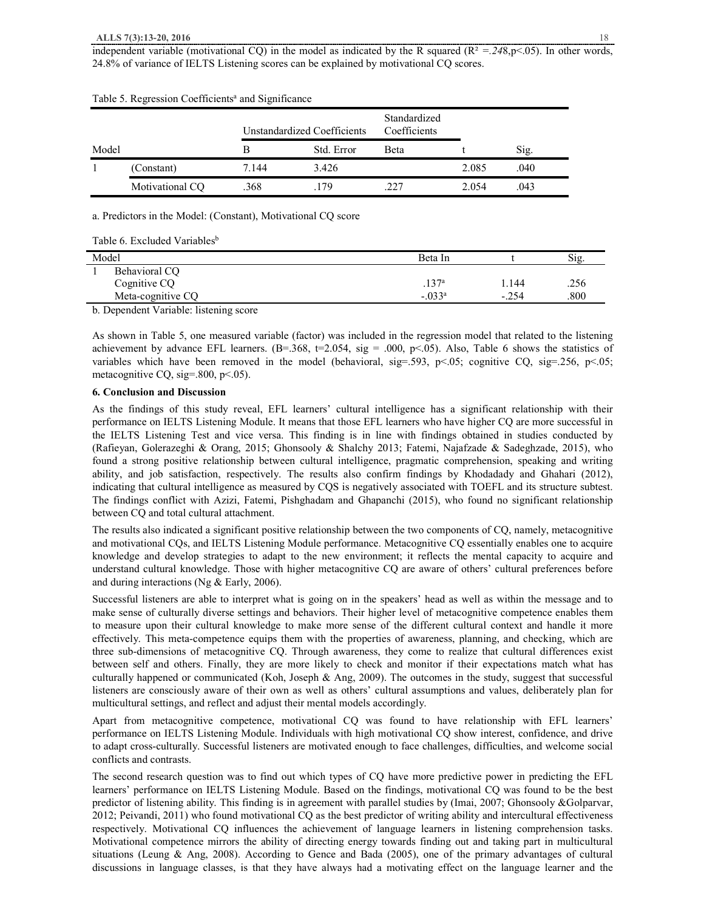## **ALLS 7(3):13-20, 2016** 18

| Unstandardized Coefficients |                 | Standardized<br>Coefficients |            |      |       |      |
|-----------------------------|-----------------|------------------------------|------------|------|-------|------|
| Model                       |                 | В                            | Std. Error | Beta |       | Sig. |
|                             | (Constant)      | 7.144                        | 3.426      |      | 2.085 | .040 |
|                             | Motivational CO | .368                         | 179        |      | 2.054 | .043 |

# Table 5. Regression Coefficients<sup>a</sup> and Significance

a. Predictors in the Model: (Constant), Motivational CQ score

| Table 6. Excluded Variables <sup>b</sup> |  |
|------------------------------------------|--|
|------------------------------------------|--|

| Model              | Beta In         |         | Sig. |
|--------------------|-----------------|---------|------|
| Behavioral CQ      |                 |         |      |
| Cognitive CQ       | $.137^{a}$      | 1.144   | .256 |
| Meta-cognitive CQ  | $-.033^{\rm a}$ | $-.254$ | .800 |
| .<br>$\sim$ $\sim$ |                 |         |      |

b. Dependent Variable: listening score

As shown in Table 5, one measured variable (factor) was included in the regression model that related to the listening achievement by advance EFL learners.  $(B=.368, t=.2054, sig=.000, p<.05)$ . Also, Table 6 shows the statistics of variables which have been removed in the model (behavioral, sig=.593, p<.05; cognitive CQ, sig=.256, p<.05; metacognitive CQ, sig=.800, p<.05).

## **6. Conclusion and Discussion**

As the findings of this study reveal, EFL learners' cultural intelligence has a significant relationship with their performance on IELTS Listening Module. It means that those EFL learners who have higher CQ are more successful in the IELTS Listening Test and vice versa. This finding is in line with findings obtained in studies conducted by (Rafieyan, Golerazeghi & Orang, 2015; Ghonsooly & Shalchy 2013; Fatemi, Najafzade & Sadeghzade, 2015), who found a strong positive relationship between cultural intelligence, pragmatic comprehension, speaking and writing ability, and job satisfaction, respectively. The results also confirm findings by Khodadady and Ghahari (2012), indicating that cultural intelligence as measured by CQS is negatively associated with TOEFL and its structure subtest. The findings conflict with Azizi, Fatemi, Pishghadam and Ghapanchi (2015), who found no significant relationship between CQ and total cultural attachment.

The results also indicated a significant positive relationship between the two components of CQ, namely, metacognitive and motivational CQs, and IELTS Listening Module performance. Metacognitive CQ essentially enables one to acquire knowledge and develop strategies to adapt to the new environment; it reflects the mental capacity to acquire and understand cultural knowledge. Those with higher metacognitive CQ are aware of others' cultural preferences before and during interactions (Ng & Early, 2006).

Successful listeners are able to interpret what is going on in the speakers' head as well as within the message and to make sense of culturally diverse settings and behaviors. Their higher level of metacognitive competence enables them to measure upon their cultural knowledge to make more sense of the different cultural context and handle it more effectively. This meta-competence equips them with the properties of awareness, planning, and checking, which are three sub-dimensions of metacognitive CQ. Through awareness, they come to realize that cultural differences exist between self and others. Finally, they are more likely to check and monitor if their expectations match what has culturally happened or communicated (Koh, Joseph & Ang, 2009). The outcomes in the study, suggest that successful listeners are consciously aware of their own as well as others' cultural assumptions and values, deliberately plan for multicultural settings, and reflect and adjust their mental models accordingly.

Apart from metacognitive competence, motivational CQ was found to have relationship with EFL learners' performance on IELTS Listening Module. Individuals with high motivational CQ show interest, confidence, and drive to adapt cross-culturally. Successful listeners are motivated enough to face challenges, difficulties, and welcome social conflicts and contrasts.

The second research question was to find out which types of CQ have more predictive power in predicting the EFL learners' performance on IELTS Listening Module. Based on the findings, motivational CQ was found to be the best predictor of listening ability. This finding is in agreement with parallel studies by (Imai, 2007; Ghonsooly &Golparvar, 2012; Peivandi, 2011) who found motivational CQ as the best predictor of writing ability and intercultural effectiveness respectively. Motivational CQ influences the achievement of language learners in listening comprehension tasks. Motivational competence mirrors the ability of directing energy towards finding out and taking part in multicultural situations (Leung & Ang, 2008). According to Gence and Bada (2005), one of the primary advantages of cultural discussions in language classes, is that they have always had a motivating effect on the language learner and the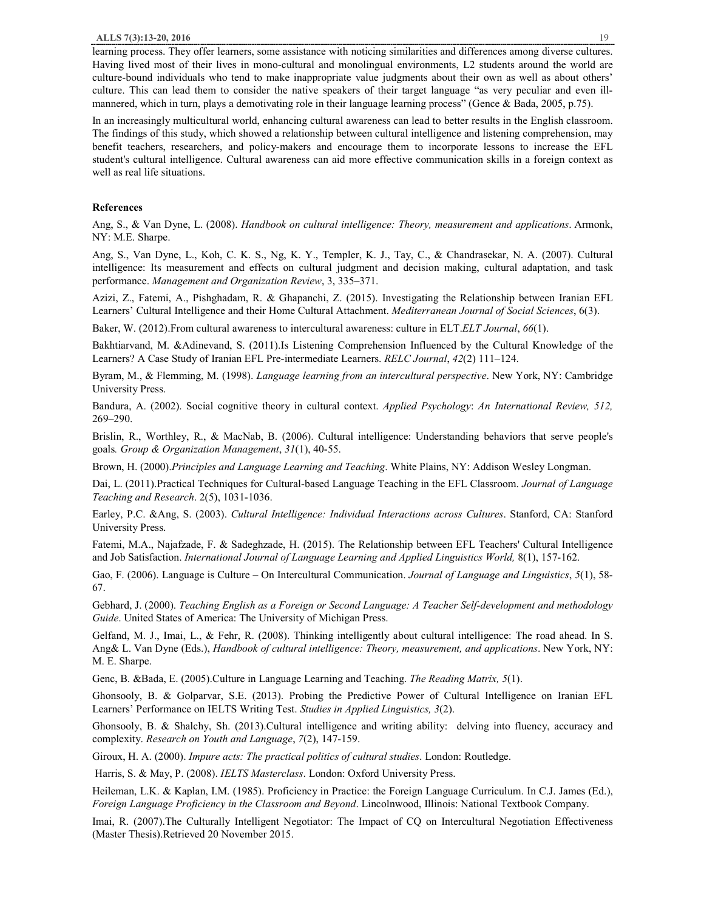In an increasingly multicultural world, enhancing cultural awareness can lead to better results in the English classroom. The findings of this study, which showed a relationship between cultural intelligence and listening comprehension, may benefit teachers, researchers, and policy-makers and encourage them to incorporate lessons to increase the EFL student's cultural intelligence. Cultural awareness can aid more effective communication skills in a foreign context as well as real life situations.

## **References**

Ang, S., & Van Dyne, L. (2008). *Handbook on cultural intelligence: Theory, measurement and applications*. Armonk, NY: M.E. Sharpe.

Ang, S., Van Dyne, L., Koh, C. K. S., Ng, K. Y., Templer, K. J., Tay, C., & Chandrasekar, N. A. (2007). Cultural intelligence: Its measurement and effects on cultural judgment and decision making, cultural adaptation, and task performance. *Management and Organization Review*, 3, 335–371.

Azizi, Z., Fatemi, A., Pishghadam, R. & Ghapanchi, Z. (2015). Investigating the Relationship between Iranian EFL Learners' Cultural Intelligence and their Home Cultural Attachment. *Mediterranean Journal of Social Sciences*, 6(3).

Baker, W. (2012).From cultural awareness to intercultural awareness: culture in ELT.*ELT Journal*, *66*(1).

Bakhtiarvand, M. &Adinevand, S. (2011).Is Listening Comprehension Influenced by the Cultural Knowledge of the Learners? A Case Study of Iranian EFL Pre-intermediate Learners. *RELC Journal*, *42*(2) 111–124.

Byram, M., & Flemming, M. (1998). *Language learning from an intercultural perspective*. New York, NY: Cambridge University Press.

Bandura, A. (2002). Social cognitive theory in cultural context. *Applied Psychology*: *An International Review, 512,* 269–290.

Brislin, R., Worthley, R., & MacNab, B. (2006). Cultural intelligence: Understanding behaviors that serve people's goals*. Group & Organization Management*, *31*(1), 40-55.

Brown, H. (2000).*Principles and Language Learning and Teaching*. White Plains, NY: Addison Wesley Longman.

Dai, L. (2011).Practical Techniques for Cultural-based Language Teaching in the EFL Classroom. *Journal of Language Teaching and Research*. 2(5), 1031-1036.

Earley, P.C. &Ang, S. (2003). *Cultural Intelligence: Individual Interactions across Cultures*. Stanford, CA: Stanford University Press.

Fatemi, M.A., Najafzade, F. & Sadeghzade, H. (2015). The Relationship between EFL Teachers' Cultural Intelligence and Job Satisfaction. *International Journal of Language Learning and Applied Linguistics World,* 8(1), 157-162.

Gao, F. (2006). Language is Culture – On Intercultural Communication. *Journal of Language and Linguistics*, *5*(1), 58- 67.

Gebhard, J. (2000). *Teaching English as a Foreign or Second Language: A Teacher Self-development and methodology Guide*. United States of America: The University of Michigan Press.

Gelfand, M. J., Imai, L., & Fehr, R. (2008). Thinking intelligently about cultural intelligence: The road ahead. In S. Ang& L. Van Dyne (Eds.), *Handbook of cultural intelligence: Theory, measurement, and applications*. New York, NY: M. E. Sharpe.

Genc, B. &Bada, E. (2005).Culture in Language Learning and Teaching. *The Reading Matrix, 5*(1).

Ghonsooly, B. & Golparvar, S.E. (2013). Probing the Predictive Power of Cultural Intelligence on Iranian EFL Learners' Performance on IELTS Writing Test. *Studies in Applied Linguistics, 3*(2).

Ghonsooly, B. & Shalchy, Sh. (2013).Cultural intelligence and writing ability: delving into fluency, accuracy and complexity. *Research on Youth and Language*, *7*(2), 147-159.

Giroux, H. A. (2000). *Impure acts: The practical politics of cultural studies*. London: Routledge.

Harris, S. & May, P. (2008). *IELTS Masterclass*. London: Oxford University Press.

Heileman, L.K. & Kaplan, I.M. (1985). Proficiency in Practice: the Foreign Language Curriculum. In C.J. James (Ed.), *Foreign Language Proficiency in the Classroom and Beyond*. Lincolnwood, Illinois: National Textbook Company.

Imai, R. (2007).The Culturally Intelligent Negotiator: The Impact of CQ on Intercultural Negotiation Effectiveness (Master Thesis).Retrieved 20 November 2015.